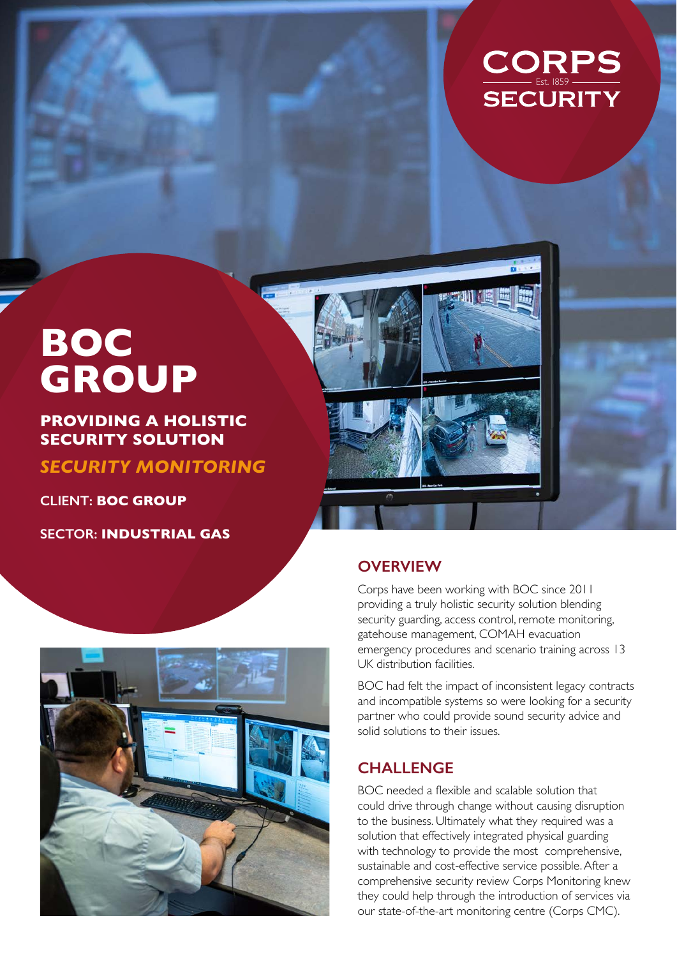

# **BOC GROUP**

## **PROVIDING A HOLISTIC SECURITY SOLUTION**

*SECURITY MONITORING*

**CLIENT: BOC GROUP**

**SECTOR: INDUSTRIAL GAS**



## **OVERVIEW**

Corps have been working with BOC since 2011 providing a truly holistic security solution blending security guarding, access control, remote monitoring, gatehouse management, COMAH evacuation emergency procedures and scenario training across 13 UK distribution facilities.

BOC had felt the impact of inconsistent legacy contracts and incompatible systems so were looking for a security partner who could provide sound security advice and solid solutions to their issues.

#### **CHALLENGE**

BOC needed a flexible and scalable solution that could drive through change without causing disruption to the business. Ultimately what they required was a solution that effectively integrated physical guarding with technology to provide the most comprehensive, sustainable and cost-effective service possible. After a comprehensive security review Corps Monitoring knew they could help through the introduction of services via our state-of-the-art monitoring centre (Corps CMC).